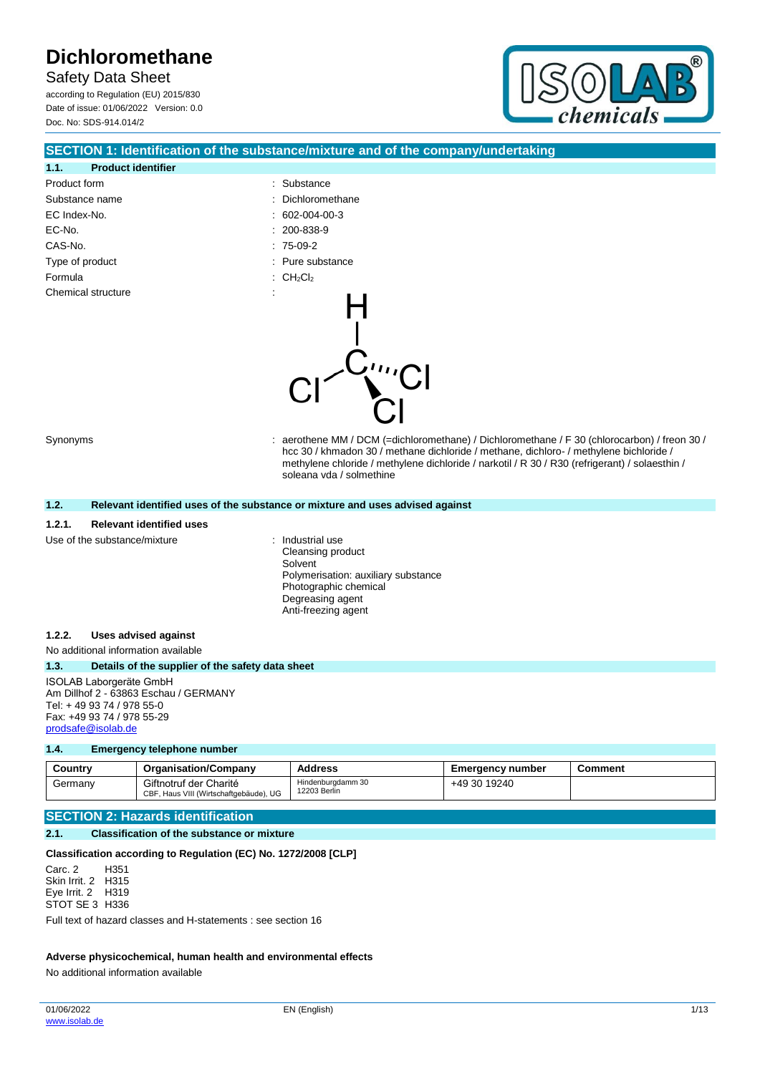Safety Data Sheet according to Regulation (EU) 2015/830 Date of issue: 01/06/2022 Version: 0.0 Doc. No: SDS-914.014/2



|                                                                                                                                                   | SECTION 1: Identification of the substance/mixture and of the company/undertaking                                                                                                                                                                                                                                  |
|---------------------------------------------------------------------------------------------------------------------------------------------------|--------------------------------------------------------------------------------------------------------------------------------------------------------------------------------------------------------------------------------------------------------------------------------------------------------------------|
| <b>Product identifier</b><br>1.1.                                                                                                                 |                                                                                                                                                                                                                                                                                                                    |
| Product form                                                                                                                                      | Substance                                                                                                                                                                                                                                                                                                          |
| Substance name                                                                                                                                    | Dichloromethane                                                                                                                                                                                                                                                                                                    |
| EC Index-No.                                                                                                                                      | 602-004-00-3                                                                                                                                                                                                                                                                                                       |
| EC-No.                                                                                                                                            | 200-838-9                                                                                                                                                                                                                                                                                                          |
| CAS-No.                                                                                                                                           | $: 75-09-2$                                                                                                                                                                                                                                                                                                        |
| Type of product                                                                                                                                   | : Pure substance                                                                                                                                                                                                                                                                                                   |
| Formula                                                                                                                                           | : $CH_2Cl_2$                                                                                                                                                                                                                                                                                                       |
| Chemical structure                                                                                                                                | t<br>$\sum_{n=1}^{\infty}$                                                                                                                                                                                                                                                                                         |
| Synonyms                                                                                                                                          | aerothene MM / DCM (=dichloromethane) / Dichloromethane / F 30 (chlorocarbon) / freon 30 /<br>hcc 30 / khmadon 30 / methane dichloride / methane, dichloro- / methylene bichloride /<br>methylene chloride / methylene dichloride / narkotil / R 30 / R30 (refrigerant) / solaesthin /<br>soleana vda / solmethine |
| 1.2.                                                                                                                                              | Relevant identified uses of the substance or mixture and uses advised against                                                                                                                                                                                                                                      |
| 1.2.1.<br><b>Relevant identified uses</b>                                                                                                         |                                                                                                                                                                                                                                                                                                                    |
| Use of the substance/mixture                                                                                                                      | : Industrial use<br>Cleansing product<br>Solvent<br>Polymerisation: auxiliary substance<br>Photographic chemical<br>Degreasing agent<br>Anti-freezing agent                                                                                                                                                        |
| 1.2.2.<br><b>Uses advised against</b>                                                                                                             |                                                                                                                                                                                                                                                                                                                    |
| No additional information available                                                                                                               |                                                                                                                                                                                                                                                                                                                    |
| 1.3.<br>Details of the supplier of the safety data sheet                                                                                          |                                                                                                                                                                                                                                                                                                                    |
| ISOLAB Laborgeräte GmbH<br>Am Dillhof 2 - 63863 Eschau / GERMANY<br>Tel: +49 93 74 / 978 55-0<br>Fax: +49 93 74 / 978 55-29<br>prodsafe@isolab.de |                                                                                                                                                                                                                                                                                                                    |

#### **1.4. Emergency telephone number**

| Countrv | <b>Organisation/Company</b>                                      | <b>Address</b>                    | <b>Emergency number</b> | Comment |
|---------|------------------------------------------------------------------|-----------------------------------|-------------------------|---------|
| Germanv | Giftnotruf der Charité<br>CBF, Haus VIII (Wirtschaftgebäude), UG | Hindenburgdamm 30<br>12203 Berlin | +49 30 19240            |         |

## **SECTION 2: Hazards identification**

#### **2.1. Classification of the substance or mixture**

### **Classification according to Regulation (EC) No. 1272/2008 [CLP]**

Carc. 2 Skin Irrit. 2 H315 Eye Irrit. 2 H319 STOT SE 3 H336 H351

Full text of hazard classes and H-statements : see section 16

#### **Adverse physicochemical, human health and environmental effects**

No additional information available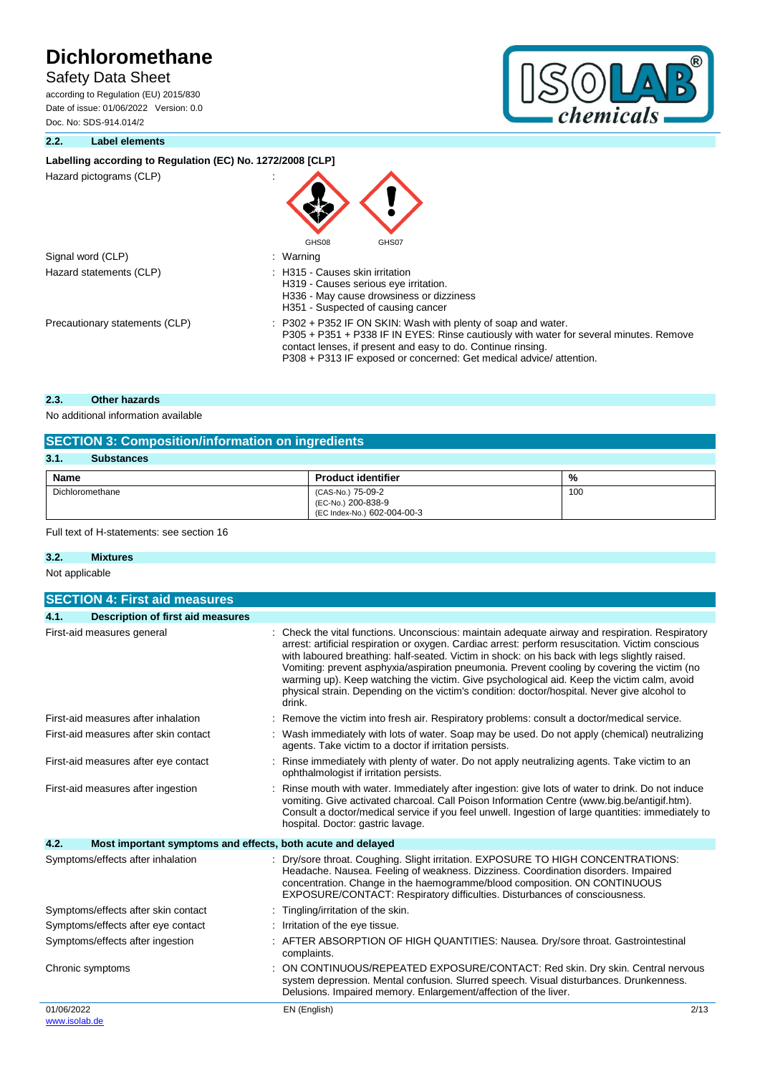## Safety Data Sheet

according to Regulation (EU) 2015/830 Date of issue: 01/06/2022 Version: 0.0 Doc. No: SDS-914.014/2



#### **2.2. Label elements**

### Labelling according to Regulation (EC) No. 1272/2008 [CLP]

Hazard pictograms (CLP) :

| Signal word (CLP)       |
|-------------------------|
| Hazard statements (CLP) |
|                         |

: Warning : H315 - Causes skin irritation H319 - Causes serious eye irritation. H336 - May cause drowsiness or dizziness H351 - Suspected of causing cancer Precautionary statements (CLP)  $\qquad \qquad : P302 + P352$  IF ON SKIN: Wash with plenty of soap and water. P305 + P351 + P338 IF IN EYES: Rinse cautiously with water for several minutes. Remove contact lenses, if present and easy to do. Continue rinsing. P308 + P313 IF exposed or concerned: Get medical advice/ attention.

#### **2.3. Other hazards**

No additional information available

| <b>SECTION 3: Composition/information on ingredients</b> |                                                                        |     |  |  |
|----------------------------------------------------------|------------------------------------------------------------------------|-----|--|--|
| 3.1.<br><b>Substances</b>                                |                                                                        |     |  |  |
| %<br>Name<br><b>Product identifier</b>                   |                                                                        |     |  |  |
| Dichloromethane                                          | (CAS-No.) 75-09-2<br>(EC-No.) 200-838-9<br>(EC Index-No.) 602-004-00-3 | 100 |  |  |

GHS08 GHS07

Full text of H-statements: see section 16

# **3.2. Mixtures**

| Not applicable |  |
|----------------|--|
|----------------|--|

|            | <b>SECTION 4: First aid measures</b>                        |                                                                                                                                                                                                                                                                                                                                                                                                                                                                                                                                                                                                            |
|------------|-------------------------------------------------------------|------------------------------------------------------------------------------------------------------------------------------------------------------------------------------------------------------------------------------------------------------------------------------------------------------------------------------------------------------------------------------------------------------------------------------------------------------------------------------------------------------------------------------------------------------------------------------------------------------------|
| 4.1.       | <b>Description of first aid measures</b>                    |                                                                                                                                                                                                                                                                                                                                                                                                                                                                                                                                                                                                            |
|            | First-aid measures general                                  | Check the vital functions. Unconscious: maintain adequate airway and respiration. Respiratory<br>arrest: artificial respiration or oxygen. Cardiac arrest: perform resuscitation. Victim conscious<br>with laboured breathing: half-seated. Victim in shock: on his back with legs slightly raised.<br>Vomiting: prevent asphyxia/aspiration pneumonia. Prevent cooling by covering the victim (no<br>warming up). Keep watching the victim. Give psychological aid. Keep the victim calm, avoid<br>physical strain. Depending on the victim's condition: doctor/hospital. Never give alcohol to<br>drink. |
|            | First-aid measures after inhalation                         | Remove the victim into fresh air. Respiratory problems: consult a doctor/medical service.                                                                                                                                                                                                                                                                                                                                                                                                                                                                                                                  |
|            | First-aid measures after skin contact                       | Wash immediately with lots of water. Soap may be used. Do not apply (chemical) neutralizing<br>agents. Take victim to a doctor if irritation persists.                                                                                                                                                                                                                                                                                                                                                                                                                                                     |
|            | First-aid measures after eye contact                        | Rinse immediately with plenty of water. Do not apply neutralizing agents. Take victim to an<br>ophthalmologist if irritation persists.                                                                                                                                                                                                                                                                                                                                                                                                                                                                     |
|            | First-aid measures after ingestion                          | Rinse mouth with water. Immediately after ingestion: give lots of water to drink. Do not induce<br>vomiting. Give activated charcoal. Call Poison Information Centre (www.big.be/antigif.htm).<br>Consult a doctor/medical service if you feel unwell. Ingestion of large quantities: immediately to<br>hospital. Doctor: gastric lavage.                                                                                                                                                                                                                                                                  |
| 4.2.       | Most important symptoms and effects, both acute and delayed |                                                                                                                                                                                                                                                                                                                                                                                                                                                                                                                                                                                                            |
|            | Symptoms/effects after inhalation                           | Dry/sore throat. Coughing. Slight irritation. EXPOSURE TO HIGH CONCENTRATIONS:<br>Headache. Nausea. Feeling of weakness. Dizziness. Coordination disorders. Impaired<br>concentration. Change in the haemogramme/blood composition. ON CONTINUOUS<br>EXPOSURE/CONTACT: Respiratory difficulties. Disturbances of consciousness.                                                                                                                                                                                                                                                                            |
|            | Symptoms/effects after skin contact                         | Tingling/irritation of the skin.                                                                                                                                                                                                                                                                                                                                                                                                                                                                                                                                                                           |
|            | Symptoms/effects after eye contact                          | Irritation of the eye tissue.                                                                                                                                                                                                                                                                                                                                                                                                                                                                                                                                                                              |
|            | Symptoms/effects after ingestion                            | AFTER ABSORPTION OF HIGH QUANTITIES: Nausea. Dry/sore throat. Gastrointestinal<br>complaints.                                                                                                                                                                                                                                                                                                                                                                                                                                                                                                              |
|            | Chronic symptoms                                            | ON CONTINUOUS/REPEATED EXPOSURE/CONTACT: Red skin. Dry skin. Central nervous<br>system depression. Mental confusion. Slurred speech. Visual disturbances. Drunkenness.<br>Delusions. Impaired memory. Enlargement/affection of the liver.                                                                                                                                                                                                                                                                                                                                                                  |
| 01/06/2022 |                                                             | EN (English)<br>2/13                                                                                                                                                                                                                                                                                                                                                                                                                                                                                                                                                                                       |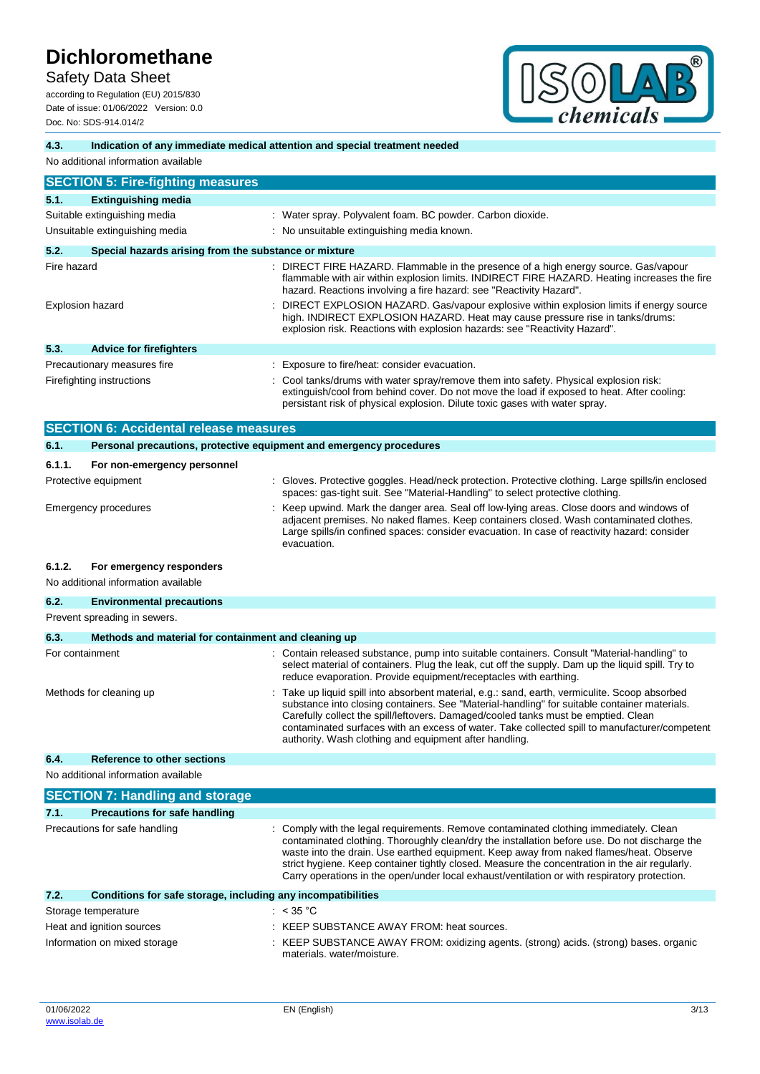Safety Data Sheet

according to Regulation (EU) 2015/830 Date of issue: 01/06/2022 Version: 0.0 Doc. No: SDS-914.014/2



### **4.3. Indication of any immediate medical attention and special treatment needed**

#### No additional information available

|                           | <b>SECTION 5: Fire-fighting measures</b>              |                                                                                                                                                                                                                                                                    |
|---------------------------|-------------------------------------------------------|--------------------------------------------------------------------------------------------------------------------------------------------------------------------------------------------------------------------------------------------------------------------|
| 5.1.                      | <b>Extinguishing media</b>                            |                                                                                                                                                                                                                                                                    |
|                           | Suitable extinguishing media                          | : Water spray. Polyvalent foam. BC powder. Carbon dioxide.                                                                                                                                                                                                         |
|                           | Unsuitable extinguishing media                        | : No unsuitable extinguishing media known.                                                                                                                                                                                                                         |
| 5.2.                      | Special hazards arising from the substance or mixture |                                                                                                                                                                                                                                                                    |
| Fire hazard               |                                                       | : DIRECT FIRE HAZARD. Flammable in the presence of a high energy source. Gas/vapour<br>flammable with air within explosion limits. INDIRECT FIRE HAZARD. Heating increases the fire<br>hazard. Reactions involving a fire hazard: see "Reactivity Hazard".         |
|                           | <b>Explosion hazard</b>                               | DIRECT EXPLOSION HAZARD. Gas/vapour explosive within explosion limits if energy source<br>high. INDIRECT EXPLOSION HAZARD. Heat may cause pressure rise in tanks/drums:<br>explosion risk. Reactions with explosion hazards: see "Reactivity Hazard".              |
| 5.3.                      | <b>Advice for firefighters</b>                        |                                                                                                                                                                                                                                                                    |
|                           | Precautionary measures fire                           | Exposure to fire/heat: consider evacuation.                                                                                                                                                                                                                        |
| Firefighting instructions |                                                       | : Cool tanks/drums with water spray/remove them into safety. Physical explosion risk:<br>extinguish/cool from behind cover. Do not move the load if exposed to heat. After cooling:<br>persistant risk of physical explosion. Dilute toxic gases with water spray. |

|                                                                                   | <b>SECTION 6: Accidental release measures</b>                       |                                                                                                                                                                                                                                                                                                                                                                                     |  |
|-----------------------------------------------------------------------------------|---------------------------------------------------------------------|-------------------------------------------------------------------------------------------------------------------------------------------------------------------------------------------------------------------------------------------------------------------------------------------------------------------------------------------------------------------------------------|--|
| 6.1.                                                                              |                                                                     |                                                                                                                                                                                                                                                                                                                                                                                     |  |
|                                                                                   | Personal precautions, protective equipment and emergency procedures |                                                                                                                                                                                                                                                                                                                                                                                     |  |
| 6.1.1.                                                                            | For non-emergency personnel                                         |                                                                                                                                                                                                                                                                                                                                                                                     |  |
|                                                                                   | Protective equipment                                                | Gloves. Protective goggles. Head/neck protection. Protective clothing. Large spills/in enclosed<br>spaces: gas-tight suit. See "Material-Handling" to select protective clothing.                                                                                                                                                                                                   |  |
|                                                                                   | <b>Emergency procedures</b>                                         | Keep upwind. Mark the danger area. Seal off low-lying areas. Close doors and windows of<br>adjacent premises. No naked flames. Keep containers closed. Wash contaminated clothes.<br>Large spills/in confined spaces: consider evacuation. In case of reactivity hazard: consider<br>evacuation.                                                                                    |  |
| 6.1.2.                                                                            | For emergency responders                                            |                                                                                                                                                                                                                                                                                                                                                                                     |  |
|                                                                                   | No additional information available                                 |                                                                                                                                                                                                                                                                                                                                                                                     |  |
| 6.2.                                                                              | <b>Environmental precautions</b>                                    |                                                                                                                                                                                                                                                                                                                                                                                     |  |
|                                                                                   | Prevent spreading in sewers.                                        |                                                                                                                                                                                                                                                                                                                                                                                     |  |
| 6.3.                                                                              | Methods and material for containment and cleaning up                |                                                                                                                                                                                                                                                                                                                                                                                     |  |
| For containment                                                                   |                                                                     | : Contain released substance, pump into suitable containers. Consult "Material-handling" to<br>select material of containers. Plug the leak, cut off the supply. Dam up the liquid spill. Try to<br>reduce evaporation. Provide equipment/receptacles with earthing.                                                                                                                |  |
| Methods for cleaning up<br>authority. Wash clothing and equipment after handling. |                                                                     | Take up liquid spill into absorbent material, e.g.: sand, earth, vermiculite. Scoop absorbed<br>substance into closing containers. See "Material-handling" for suitable container materials.<br>Carefully collect the spill/leftovers. Damaged/cooled tanks must be emptied. Clean<br>contaminated surfaces with an excess of water. Take collected spill to manufacturer/competent |  |
| 6.4.                                                                              | Reference to other sections                                         |                                                                                                                                                                                                                                                                                                                                                                                     |  |
|                                                                                   | No additional information available                                 |                                                                                                                                                                                                                                                                                                                                                                                     |  |
|                                                                                   | <b>SECTION 7: Handling and storage</b>                              |                                                                                                                                                                                                                                                                                                                                                                                     |  |

|                               | <u>election</u> in the distinct with each ago                |                                                                                                                                                                                                                                                                                                                                                                                                                                                                                    |  |
|-------------------------------|--------------------------------------------------------------|------------------------------------------------------------------------------------------------------------------------------------------------------------------------------------------------------------------------------------------------------------------------------------------------------------------------------------------------------------------------------------------------------------------------------------------------------------------------------------|--|
| 7.1.                          | <b>Precautions for safe handling</b>                         |                                                                                                                                                                                                                                                                                                                                                                                                                                                                                    |  |
| Precautions for safe handling |                                                              | : Comply with the legal requirements. Remove contaminated clothing immediately. Clean<br>contaminated clothing. Thoroughly clean/dry the installation before use. Do not discharge the<br>waste into the drain. Use earthed equipment. Keep away from naked flames/heat. Observe<br>strict hygiene. Keep container tightly closed. Measure the concentration in the air regularly.<br>Carry operations in the open/under local exhaust/ventilation or with respiratory protection. |  |
| 7.2.                          | Conditions for safe storage, including any incompatibilities |                                                                                                                                                                                                                                                                                                                                                                                                                                                                                    |  |
|                               | Storage temperature                                          | : $<$ 35 °C                                                                                                                                                                                                                                                                                                                                                                                                                                                                        |  |
|                               | Heat and ignition sources                                    | : KEEP SUBSTANCE AWAY FROM: heat sources.                                                                                                                                                                                                                                                                                                                                                                                                                                          |  |
|                               | Information on mixed storage                                 | : KEEP SUBSTANCE AWAY FROM: oxidizing agents. (strong) acids. (strong) bases. organic<br>materials, water/moisture.                                                                                                                                                                                                                                                                                                                                                                |  |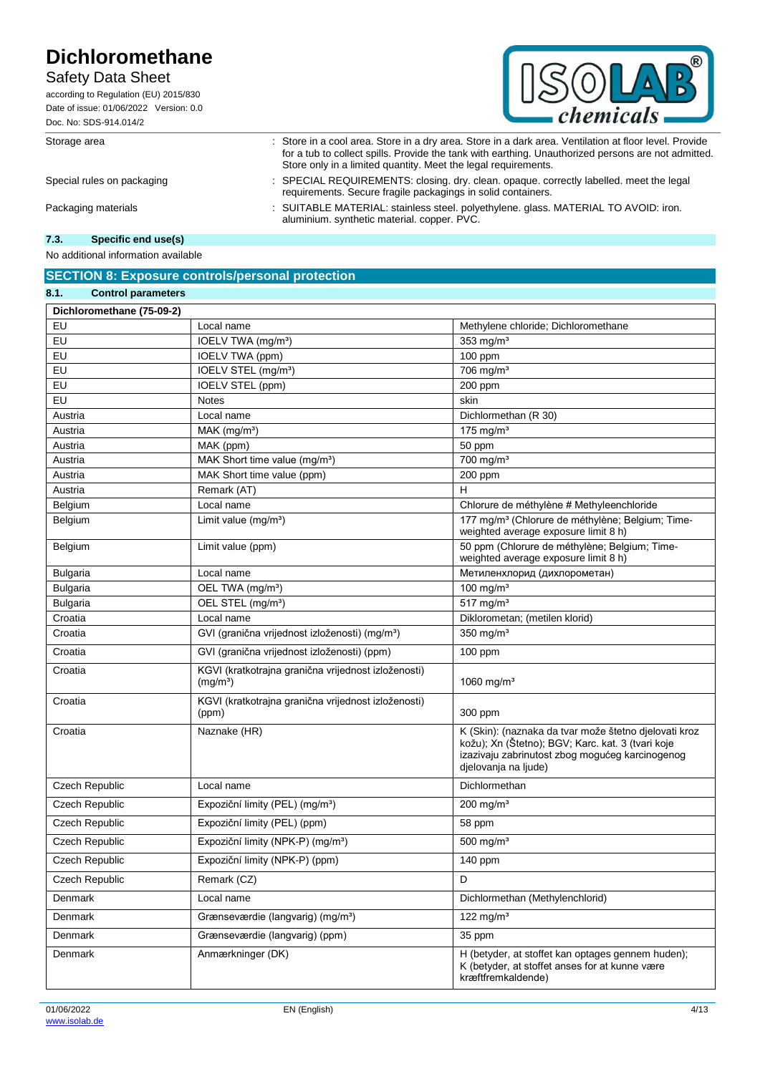# Safety Data Sheet

according to Regulation (EU) 2015/830 Date of issue: 01/06/2022 Version: 0.0 Doc. No: SDS-914.014/2



Storage area : Store in a cool area. Store in a dry area. Store in a dark area. Ventilation at floor level. Provide

Store only in a limited quantity. Meet the legal requirements. Special rules on packaging : SPECIAL REQUIREMENTS: closing. dry. clean. opaque. correctly labelled. meet the legal requirements. Secure fragile packagings in solid containers.

for a tub to collect spills. Provide the tank with earthing. Unauthorized persons are not admitted.

Packaging materials : SUITABLE MATERIAL: stainless steel. polyethylene. glass. MATERIAL TO AVOID: iron. aluminium. synthetic material. copper. PVC.

#### **7.3. Specific end use(s)**

No additional information available

### **SECTION 8: Exposure controls/personal protection**

| 8.1.<br><b>Control parameters</b> |                                                                             |                                                                                                                                                                                       |
|-----------------------------------|-----------------------------------------------------------------------------|---------------------------------------------------------------------------------------------------------------------------------------------------------------------------------------|
| Dichloromethane (75-09-2)         |                                                                             |                                                                                                                                                                                       |
| EU                                | Local name                                                                  | Methylene chloride; Dichloromethane                                                                                                                                                   |
| EU                                | IOELV TWA (mg/m <sup>3</sup> )                                              | 353 $mg/m3$                                                                                                                                                                           |
| EU                                | IOELV TWA (ppm)                                                             | 100 ppm                                                                                                                                                                               |
| EU                                | IOELV STEL (mg/m <sup>3</sup> )                                             | 706 mg/m <sup>3</sup>                                                                                                                                                                 |
| EU                                | IOELV STEL (ppm)                                                            | 200 ppm                                                                                                                                                                               |
| EU                                | <b>Notes</b>                                                                | skin                                                                                                                                                                                  |
| Austria                           | Local name                                                                  | Dichlormethan (R 30)                                                                                                                                                                  |
| Austria                           | MAK (mg/m <sup>3</sup> )                                                    | $175$ mg/m <sup>3</sup>                                                                                                                                                               |
| Austria                           | MAK (ppm)                                                                   | 50 ppm                                                                                                                                                                                |
| Austria                           | MAK Short time value (mg/m <sup>3</sup> )                                   | $700$ mg/m <sup>3</sup>                                                                                                                                                               |
| Austria                           | MAK Short time value (ppm)                                                  | 200 ppm                                                                                                                                                                               |
| Austria                           | Remark (AT)                                                                 | Н                                                                                                                                                                                     |
| <b>Belgium</b>                    | Local name                                                                  | Chlorure de méthylène # Methyleenchloride                                                                                                                                             |
| Belgium                           | Limit value (mg/m <sup>3</sup> )                                            | 177 mg/m <sup>3</sup> (Chlorure de méthylène; Belgium; Time-<br>weighted average exposure limit 8 h)                                                                                  |
| Belgium                           | Limit value (ppm)                                                           | 50 ppm (Chlorure de méthylène; Belgium; Time-<br>weighted average exposure limit 8 h)                                                                                                 |
| <b>Bulgaria</b>                   | Local name                                                                  | Метиленхлорид (дихлорометан)                                                                                                                                                          |
| <b>Bulgaria</b>                   | OEL TWA (mg/m <sup>3</sup> )                                                | 100 mg/ $m3$                                                                                                                                                                          |
| <b>Bulgaria</b>                   | OEL STEL (mg/m <sup>3</sup> )                                               | $517$ mg/m <sup>3</sup>                                                                                                                                                               |
| Croatia                           | Local name                                                                  | Diklorometan; (metilen klorid)                                                                                                                                                        |
| Croatia                           | GVI (granična vrijednost izloženosti) (mg/m <sup>3</sup> )                  | 350 mg/m <sup>3</sup>                                                                                                                                                                 |
| Croatia                           | GVI (granična vrijednost izloženosti) (ppm)                                 | 100 ppm                                                                                                                                                                               |
| Croatia                           | KGVI (kratkotrajna granična vrijednost izloženosti)<br>(mg/m <sup>3</sup> ) | 1060 mg/m <sup>3</sup>                                                                                                                                                                |
| Croatia                           | KGVI (kratkotrajna granična vrijednost izloženosti)<br>(ppm)                | 300 ppm                                                                                                                                                                               |
| Croatia                           | Naznake (HR)                                                                | K (Skin): (naznaka da tvar može štetno djelovati kroz<br>kožu); Xn (Štetno); BGV; Karc. kat. 3 (tvari koje<br>izazivaju zabrinutost zbog mogućeg karcinogenog<br>djelovanja na ljude) |
| Czech Republic                    | Local name                                                                  | Dichlormethan                                                                                                                                                                         |
| <b>Czech Republic</b>             | Expoziční limity (PEL) (mg/m <sup>3</sup> )                                 | $200$ mg/m <sup>3</sup>                                                                                                                                                               |
| Czech Republic                    | Expoziční limity (PEL) (ppm)                                                | 58 ppm                                                                                                                                                                                |
| <b>Czech Republic</b>             | Expoziční limity (NPK-P) (mg/m <sup>3</sup> )                               | 500 mg/ $m3$                                                                                                                                                                          |
| Czech Republic                    | Expoziční limity (NPK-P) (ppm)                                              | 140 ppm                                                                                                                                                                               |
| Czech Republic                    | Remark (CZ)                                                                 | D                                                                                                                                                                                     |
| Denmark                           | Local name                                                                  | Dichlormethan (Methylenchlorid)                                                                                                                                                       |
| Denmark                           | Grænseværdie (langvarig) (mg/m <sup>3</sup> )                               | 122 mg/ $m3$                                                                                                                                                                          |
| Denmark                           | Grænseværdie (langvarig) (ppm)                                              | 35 ppm                                                                                                                                                                                |
| Denmark                           | Anmærkninger (DK)                                                           | H (betyder, at stoffet kan optages gennem huden);<br>K (betyder, at stoffet anses for at kunne være<br>kræftfremkaldende)                                                             |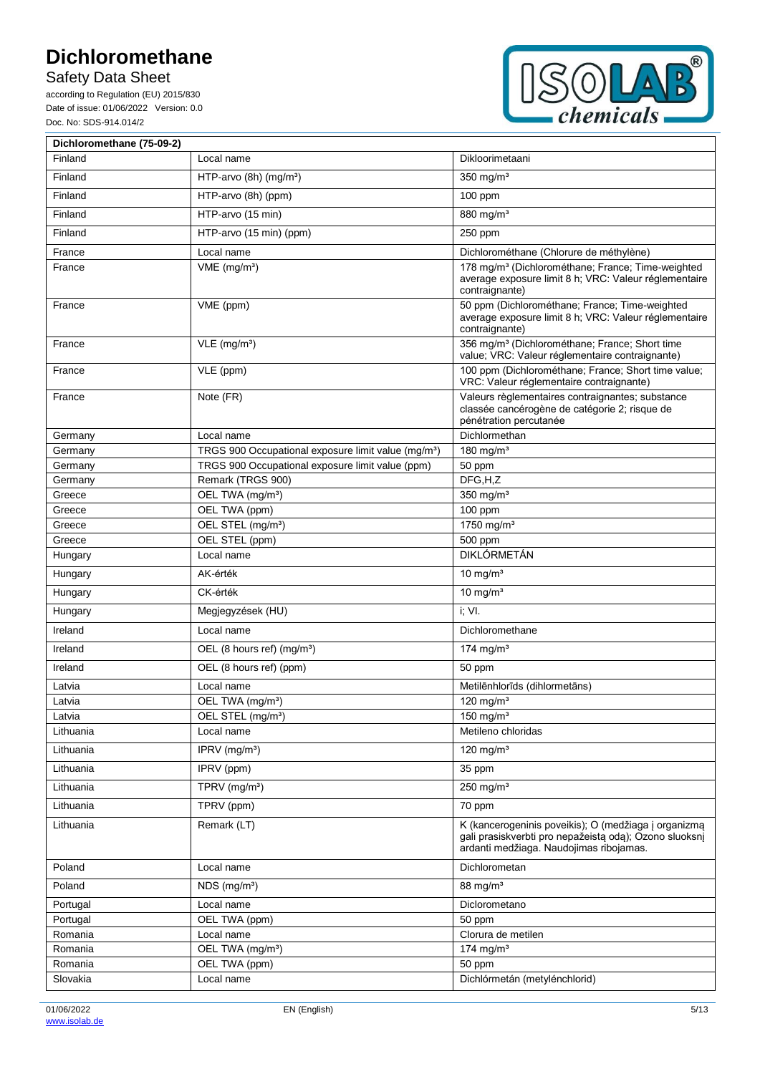Safety Data Sheet

according to Regulation (EU) 2015/830 Date of issue: 01/06/2022 Version: 0.0 Doc. No: SDS-914.014/2



| Dichloromethane (75-09-2) |                                                                 |                                                                                                                                                           |
|---------------------------|-----------------------------------------------------------------|-----------------------------------------------------------------------------------------------------------------------------------------------------------|
| Finland                   | Local name                                                      | Dikloorimetaani                                                                                                                                           |
| Finland                   | HTP-arvo $(8h)$ (mg/m <sup>3</sup> )                            | $350$ mg/m <sup>3</sup>                                                                                                                                   |
| Finland                   | HTP-arvo (8h) (ppm)                                             | 100 ppm                                                                                                                                                   |
| Finland                   | HTP-arvo (15 min)                                               | 880 mg/m <sup>3</sup>                                                                                                                                     |
| Finland                   | HTP-arvo (15 min) (ppm)                                         | 250 ppm                                                                                                                                                   |
| France                    | Local name                                                      | Dichlorométhane (Chlorure de méthylène)                                                                                                                   |
| France                    | $VME$ (mg/m <sup>3</sup> )                                      | 178 mg/m <sup>3</sup> (Dichlorométhane; France; Time-weighted<br>average exposure limit 8 h; VRC: Valeur réglementaire<br>contraignante)                  |
| France                    | VME (ppm)                                                       | 50 ppm (Dichlorométhane; France; Time-weighted<br>average exposure limit 8 h; VRC: Valeur réglementaire<br>contraignante)                                 |
| France                    | $VLE$ (mg/m <sup>3</sup> )                                      | 356 mg/m <sup>3</sup> (Dichlorométhane; France; Short time<br>value; VRC: Valeur réglementaire contraignante)                                             |
| France                    | VLE (ppm)                                                       | 100 ppm (Dichlorométhane; France; Short time value;<br>VRC: Valeur réglementaire contraignante)                                                           |
| France                    | Note (FR)                                                       | Valeurs règlementaires contraignantes; substance<br>classée cancérogène de catégorie 2; risque de<br>pénétration percutanée                               |
| Germany                   | Local name                                                      | Dichlormethan                                                                                                                                             |
| Germany                   | TRGS 900 Occupational exposure limit value (mg/m <sup>3</sup> ) | 180 mg/m <sup>3</sup>                                                                                                                                     |
| Germany                   | TRGS 900 Occupational exposure limit value (ppm)                | 50 ppm                                                                                                                                                    |
| Germany                   | Remark (TRGS 900)                                               | DFG,H,Z                                                                                                                                                   |
| Greece                    | OEL TWA (mg/m <sup>3</sup> )                                    | 350 mg/m <sup>3</sup>                                                                                                                                     |
| Greece                    | OEL TWA (ppm)                                                   | $100$ ppm                                                                                                                                                 |
| Greece                    | OEL STEL (mg/m <sup>3</sup> )                                   | 1750 mg/m <sup>3</sup>                                                                                                                                    |
| Greece<br>Hungary         | OEL STEL (ppm)<br>Local name                                    | 500 ppm<br><b>DIKLÓRMETÁN</b>                                                                                                                             |
|                           |                                                                 |                                                                                                                                                           |
| Hungary                   | AK-érték<br>CK-érték                                            | $\frac{1}{10}$ mg/m <sup>3</sup>                                                                                                                          |
| Hungary                   |                                                                 | 10 mg/ $m3$                                                                                                                                               |
| Hungary                   | Megjegyzések (HU)                                               | i; VI.                                                                                                                                                    |
| Ireland                   | Local name                                                      | Dichloromethane                                                                                                                                           |
| Ireland                   | OEL (8 hours ref) (mg/m <sup>3</sup> )                          | 174 mg/m $3$                                                                                                                                              |
| Ireland                   | OEL (8 hours ref) (ppm)                                         | 50 ppm                                                                                                                                                    |
| Latvia                    | Local name                                                      | Metilēnhlorīds (dihlormetāns)                                                                                                                             |
| Latvia                    | OEL TWA (mg/m <sup>3</sup> )                                    | 120 mg/m $3$                                                                                                                                              |
| Latvia                    | OEL STEL (mg/m <sup>3</sup> )                                   | 150 mg/m $3$                                                                                                                                              |
| Lithuania                 | Local name                                                      | Metileno chloridas                                                                                                                                        |
| Lithuania                 | IPRV (mg/m <sup>3</sup> )                                       | 120 mg/ $m3$                                                                                                                                              |
| Lithuania                 | IPRV (ppm)                                                      | 35 ppm                                                                                                                                                    |
| Lithuania                 | TPRV (mg/m <sup>3</sup> )                                       | 250 mg/m $3$                                                                                                                                              |
| Lithuania                 | TPRV (ppm)                                                      | 70 ppm                                                                                                                                                    |
| Lithuania                 | Remark (LT)                                                     | K (kancerogeninis poveikis); O (medžiaga į organizmą<br>gali prasiskverbti pro nepažeistą odą); Ozono sluoksnį<br>ardanti medžiaga. Naudojimas ribojamas. |
| Poland                    | Local name                                                      | Dichlorometan                                                                                                                                             |
| Poland                    | NDS (mg/m <sup>3</sup> )                                        | 88 mg/ $m3$                                                                                                                                               |
| Portugal                  | Local name                                                      | Diclorometano                                                                                                                                             |
| Portugal                  | OEL TWA (ppm)                                                   | 50 ppm                                                                                                                                                    |
| Romania                   | Local name                                                      | Clorura de metilen                                                                                                                                        |
| Romania                   | OEL TWA (mg/m <sup>3</sup> )                                    | 174 mg/m $3$                                                                                                                                              |
| Romania                   | OEL TWA (ppm)                                                   | 50 ppm                                                                                                                                                    |
| Slovakia                  | Local name                                                      | Dichlórmetán (metylénchlorid)                                                                                                                             |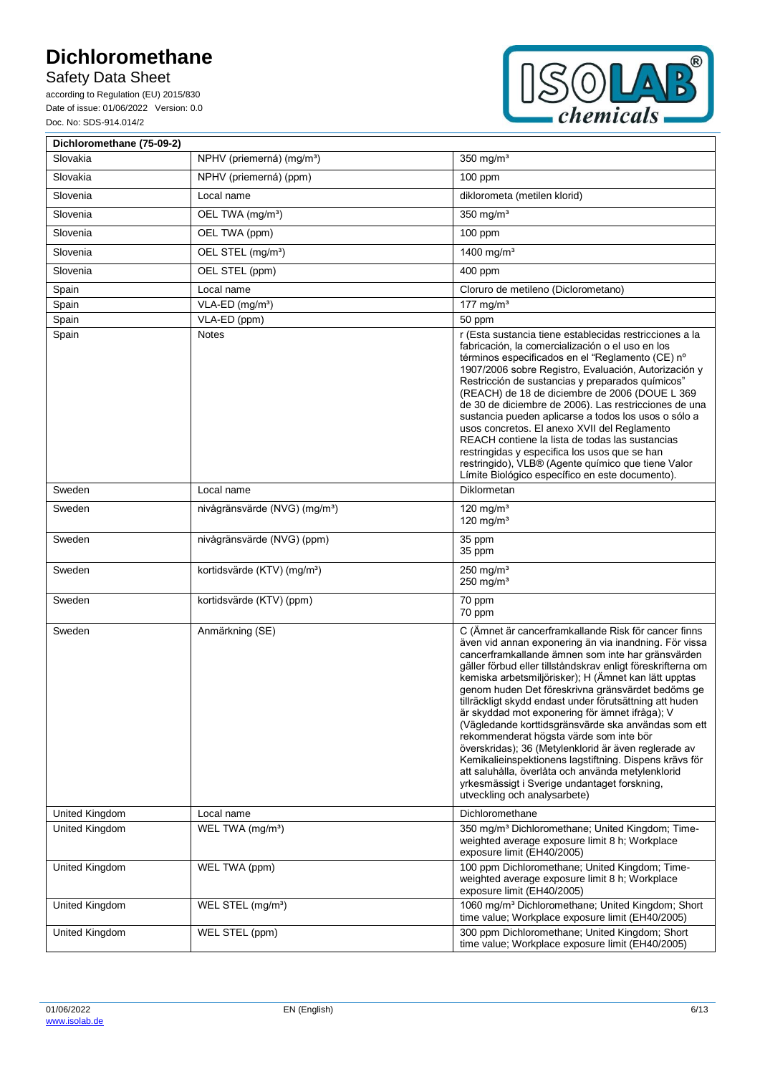Safety Data Sheet

according to Regulation (EU) 2015/830 Date of issue: 01/06/2022 Version: 0.0 Doc. No: SDS-914.014/2



| Dichloromethane (75-09-2) |                                           |                                                                                                                                                                                                                                                                                                                                                                                                                                                                                                                                                                                                                                                                                                                                                                                                                      |
|---------------------------|-------------------------------------------|----------------------------------------------------------------------------------------------------------------------------------------------------------------------------------------------------------------------------------------------------------------------------------------------------------------------------------------------------------------------------------------------------------------------------------------------------------------------------------------------------------------------------------------------------------------------------------------------------------------------------------------------------------------------------------------------------------------------------------------------------------------------------------------------------------------------|
| Slovakia                  | NPHV (priemerná) (mg/m <sup>3</sup> )     | 350 mg/m <sup>3</sup>                                                                                                                                                                                                                                                                                                                                                                                                                                                                                                                                                                                                                                                                                                                                                                                                |
| Slovakia                  | NPHV (priemerná) (ppm)                    | $100$ ppm                                                                                                                                                                                                                                                                                                                                                                                                                                                                                                                                                                                                                                                                                                                                                                                                            |
| Slovenia                  | Local name                                | diklorometa (metilen klorid)                                                                                                                                                                                                                                                                                                                                                                                                                                                                                                                                                                                                                                                                                                                                                                                         |
| Slovenia                  | OEL TWA (mg/m <sup>3</sup> )              | 350 mg/m <sup>3</sup>                                                                                                                                                                                                                                                                                                                                                                                                                                                                                                                                                                                                                                                                                                                                                                                                |
| Slovenia                  | OEL TWA (ppm)                             | 100 ppm                                                                                                                                                                                                                                                                                                                                                                                                                                                                                                                                                                                                                                                                                                                                                                                                              |
| Slovenia                  | OEL STEL (mg/m <sup>3</sup> )             | 1400 mg/m <sup>3</sup>                                                                                                                                                                                                                                                                                                                                                                                                                                                                                                                                                                                                                                                                                                                                                                                               |
| Slovenia                  | OEL STEL (ppm)                            | 400 ppm                                                                                                                                                                                                                                                                                                                                                                                                                                                                                                                                                                                                                                                                                                                                                                                                              |
| Spain                     | Local name                                | Cloruro de metileno (Diclorometano)                                                                                                                                                                                                                                                                                                                                                                                                                                                                                                                                                                                                                                                                                                                                                                                  |
| Spain                     | VLA-ED (mg/m <sup>3</sup> )               | 177 mg/m $3$                                                                                                                                                                                                                                                                                                                                                                                                                                                                                                                                                                                                                                                                                                                                                                                                         |
| Spain                     | VLA-ED (ppm)                              | 50 ppm                                                                                                                                                                                                                                                                                                                                                                                                                                                                                                                                                                                                                                                                                                                                                                                                               |
| Spain                     | <b>Notes</b>                              | r (Esta sustancia tiene establecidas restricciones a la<br>fabricación, la comercialización o el uso en los<br>términos especificados en el "Reglamento (CE) nº<br>1907/2006 sobre Registro, Evaluación, Autorización y<br>Restricción de sustancias y preparados químicos"<br>(REACH) de 18 de diciembre de 2006 (DOUE L 369<br>de 30 de diciembre de 2006). Las restricciones de una<br>sustancia pueden aplicarse a todos los usos o sólo a<br>usos concretos. El anexo XVII del Reglamento<br>REACH contiene la lista de todas las sustancias<br>restringidas y especifica los usos que se han<br>restringido), VLB® (Agente químico que tiene Valor<br>Límite Biológico específico en este documento).                                                                                                          |
| Sweden                    | Local name                                | Diklormetan                                                                                                                                                                                                                                                                                                                                                                                                                                                                                                                                                                                                                                                                                                                                                                                                          |
| Sweden                    | nivågränsvärde (NVG) (mg/m <sup>3</sup> ) | 120 mg/m $3$<br>120 mg/m $3$                                                                                                                                                                                                                                                                                                                                                                                                                                                                                                                                                                                                                                                                                                                                                                                         |
| Sweden                    | nivågränsvärde (NVG) (ppm)                | 35 ppm<br>35 ppm                                                                                                                                                                                                                                                                                                                                                                                                                                                                                                                                                                                                                                                                                                                                                                                                     |
| Sweden                    | kortidsvärde (KTV) (mg/m <sup>3</sup> )   | $250$ mg/m <sup>3</sup><br>$250$ mg/m <sup>3</sup>                                                                                                                                                                                                                                                                                                                                                                                                                                                                                                                                                                                                                                                                                                                                                                   |
| Sweden                    | kortidsvärde (KTV) (ppm)                  | 70 ppm<br>70 ppm                                                                                                                                                                                                                                                                                                                                                                                                                                                                                                                                                                                                                                                                                                                                                                                                     |
| Sweden                    | Anmärkning (SE)                           | C (Ämnet är cancerframkallande Risk för cancer finns<br>även vid annan exponering än via inandning. För vissa<br>cancerframkallande ämnen som inte har gränsvärden<br>gäller förbud eller tillståndskrav enligt föreskrifterna om<br>kemiska arbetsmiljörisker); H (Ämnet kan lätt upptas<br>genom huden Det föreskrivna gränsvärdet bedöms ge<br>tillräckligt skydd endast under förutsättning att huden<br>är skyddad mot exponering för ämnet ifråga): V<br>(Vägledande korttidsgränsvärde ska användas som ett<br>rekommenderat högsta värde som inte bör<br>överskridas); 36 (Metylenklorid är även reglerade av<br>Kemikalieinspektionens lagstiftning. Dispens krävs för<br>att saluhålla, överlåta och använda metylenklorid<br>yrkesmässigt i Sverige undantaget forskning,<br>utveckling och analysarbete) |
| United Kingdom            | Local name                                | Dichloromethane                                                                                                                                                                                                                                                                                                                                                                                                                                                                                                                                                                                                                                                                                                                                                                                                      |
| United Kingdom            | WEL TWA (mg/m <sup>3</sup> )              | 350 mg/m <sup>3</sup> Dichloromethane; United Kingdom; Time-<br>weighted average exposure limit 8 h; Workplace<br>exposure limit (EH40/2005)                                                                                                                                                                                                                                                                                                                                                                                                                                                                                                                                                                                                                                                                         |
| United Kingdom            | WEL TWA (ppm)                             | 100 ppm Dichloromethane; United Kingdom; Time-<br>weighted average exposure limit 8 h; Workplace<br>exposure limit (EH40/2005)                                                                                                                                                                                                                                                                                                                                                                                                                                                                                                                                                                                                                                                                                       |
| United Kingdom            | WEL STEL (mg/m <sup>3</sup> )             | 1060 mg/m <sup>3</sup> Dichloromethane; United Kingdom; Short<br>time value; Workplace exposure limit (EH40/2005)                                                                                                                                                                                                                                                                                                                                                                                                                                                                                                                                                                                                                                                                                                    |
| United Kingdom            | WEL STEL (ppm)                            | 300 ppm Dichloromethane; United Kingdom; Short<br>time value; Workplace exposure limit (EH40/2005)                                                                                                                                                                                                                                                                                                                                                                                                                                                                                                                                                                                                                                                                                                                   |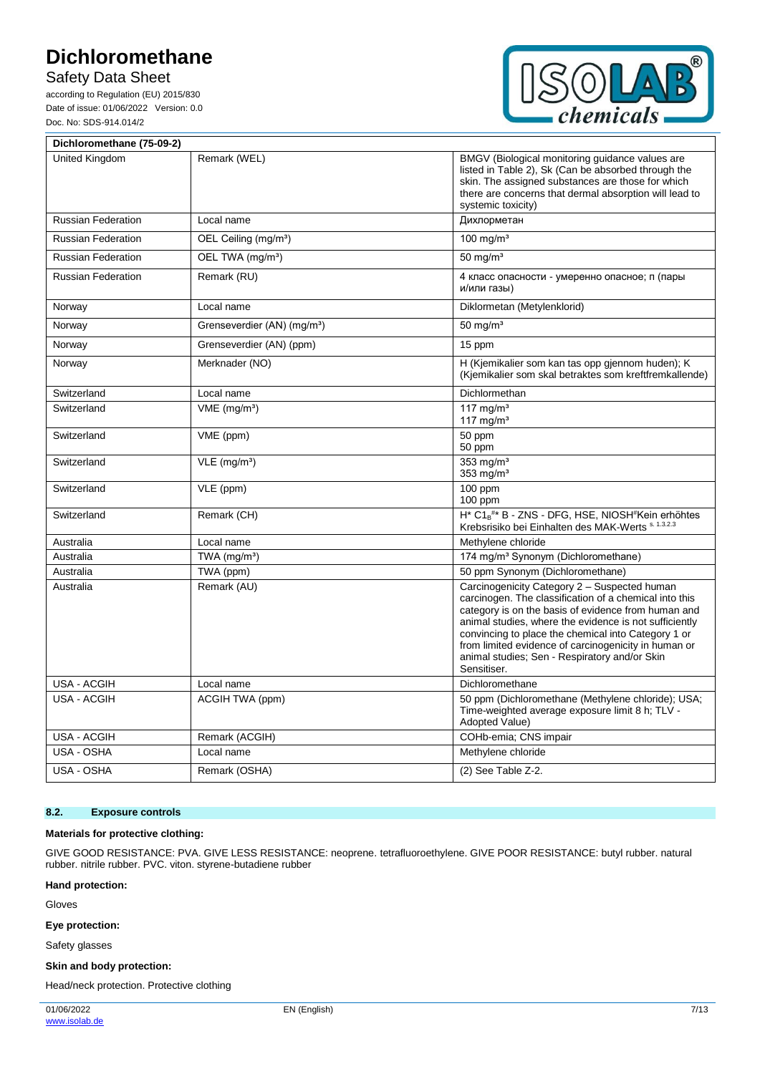Safety Data Sheet

according to Regulation (EU) 2015/830 Date of issue: 01/06/2022 Version: 0.0 Doc. No: SDS-914.014/2



| Dichloromethane (75-09-2) |                                         |                                                                                                                                                                                                                                                                                                                                                                                                        |
|---------------------------|-----------------------------------------|--------------------------------------------------------------------------------------------------------------------------------------------------------------------------------------------------------------------------------------------------------------------------------------------------------------------------------------------------------------------------------------------------------|
| United Kingdom            | Remark (WEL)                            | BMGV (Biological monitoring guidance values are<br>listed in Table 2), Sk (Can be absorbed through the<br>skin. The assigned substances are those for which<br>there are concerns that dermal absorption will lead to<br>systemic toxicity)                                                                                                                                                            |
| <b>Russian Federation</b> | Local name                              | Дихлорметан                                                                                                                                                                                                                                                                                                                                                                                            |
| <b>Russian Federation</b> | OEL Ceiling (mg/m <sup>3</sup> )        | 100 mg/m <sup>3</sup>                                                                                                                                                                                                                                                                                                                                                                                  |
| <b>Russian Federation</b> | OEL TWA (mg/m <sup>3</sup> )            | $50 \text{ mg/m}^3$                                                                                                                                                                                                                                                                                                                                                                                    |
| <b>Russian Federation</b> | Remark (RU)                             | 4 класс опасности - умеренно опасное; п (пары<br>и/или газы)                                                                                                                                                                                                                                                                                                                                           |
| Norway                    | Local name                              | Diklormetan (Metylenklorid)                                                                                                                                                                                                                                                                                                                                                                            |
| Norway                    | Grenseverdier (AN) (mg/m <sup>3</sup> ) | $50 \text{ mg/m}^3$                                                                                                                                                                                                                                                                                                                                                                                    |
| Norway                    | Grenseverdier (AN) (ppm)                | 15 ppm                                                                                                                                                                                                                                                                                                                                                                                                 |
| Norway                    | Merknader (NO)                          | H (Kjemikalier som kan tas opp gjennom huden); K<br>(Kjemikalier som skal betraktes som kreftfremkallende)                                                                                                                                                                                                                                                                                             |
| Switzerland               | Local name                              | Dichlormethan                                                                                                                                                                                                                                                                                                                                                                                          |
| Switzerland               | $VME$ (mg/m <sup>3</sup> )              | 117 mg/ $m3$<br>117 mg/m <sup>3</sup>                                                                                                                                                                                                                                                                                                                                                                  |
| Switzerland               | VME (ppm)                               | 50 ppm<br>50 ppm                                                                                                                                                                                                                                                                                                                                                                                       |
| Switzerland               | $VLE$ (mg/m <sup>3</sup> )              | $353$ mg/m <sup>3</sup><br>353 $mg/m3$                                                                                                                                                                                                                                                                                                                                                                 |
| Switzerland               | $\overline{VLE}$ (ppm)                  | $100$ ppm<br>$100$ ppm                                                                                                                                                                                                                                                                                                                                                                                 |
| Switzerland               | Remark (CH)                             | $H^*$ C1 <sub>B</sub> <sup>#*</sup> B - ZNS - DFG, HSE, NIOSH <sup>#</sup> Kein erhöhtes<br>Krebsrisiko bei Einhalten des MAK-Werts s. 1.3.2.3                                                                                                                                                                                                                                                         |
| Australia                 | Local name                              | Methylene chloride                                                                                                                                                                                                                                                                                                                                                                                     |
| Australia                 | TWA (mg/m <sup>3</sup> )                | 174 mg/m <sup>3</sup> Synonym (Dichloromethane)                                                                                                                                                                                                                                                                                                                                                        |
| Australia                 | TWA (ppm)                               | 50 ppm Synonym (Dichloromethane)                                                                                                                                                                                                                                                                                                                                                                       |
| Australia                 | Remark (AU)                             | Carcinogenicity Category 2 - Suspected human<br>carcinogen. The classification of a chemical into this<br>category is on the basis of evidence from human and<br>animal studies, where the evidence is not sufficiently<br>convincing to place the chemical into Category 1 or<br>from limited evidence of carcinogenicity in human or<br>animal studies; Sen - Respiratory and/or Skin<br>Sensitiser. |
| <b>USA - ACGIH</b>        | Local name                              | Dichloromethane                                                                                                                                                                                                                                                                                                                                                                                        |
| <b>USA - ACGIH</b>        | ACGIH TWA (ppm)                         | 50 ppm (Dichloromethane (Methylene chloride); USA;<br>Time-weighted average exposure limit 8 h; TLV -<br>Adopted Value)                                                                                                                                                                                                                                                                                |
| <b>USA - ACGIH</b>        | Remark (ACGIH)                          | COHb-emia; CNS impair                                                                                                                                                                                                                                                                                                                                                                                  |
| USA - OSHA                | Local name                              | Methylene chloride                                                                                                                                                                                                                                                                                                                                                                                     |
| USA - OSHA                | Remark (OSHA)                           | (2) See Table Z-2.                                                                                                                                                                                                                                                                                                                                                                                     |

#### **8.2. Exposure controls**

#### **Materials for protective clothing:**

GIVE GOOD RESISTANCE: PVA. GIVE LESS RESISTANCE: neoprene. tetrafluoroethylene. GIVE POOR RESISTANCE: butyl rubber. natural rubber. nitrile rubber. PVC. viton. styrene-butadiene rubber

#### **Hand protection:**

Gloves

#### **Eye protection:**

Safety glasses

#### **Skin and body protection:**

Head/neck protection. Protective clothing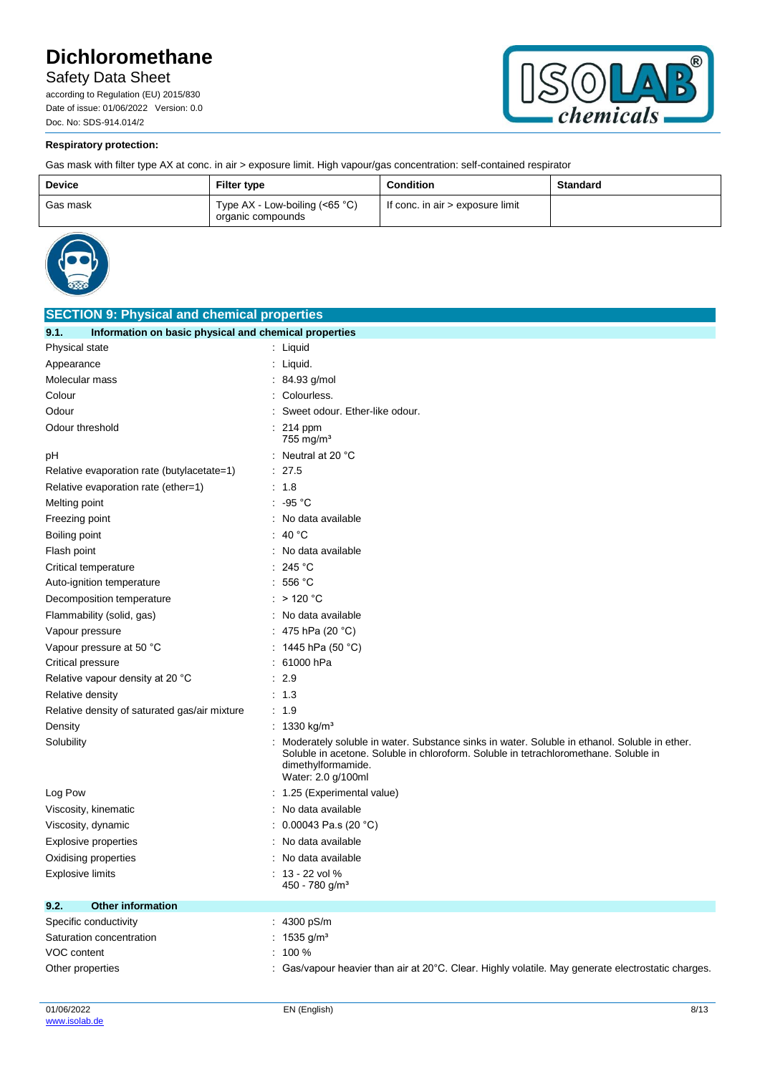Safety Data Sheet

according to Regulation (EU) 2015/830 Date of issue: 01/06/2022 Version: 0.0 Doc. No: SDS-914.014/2



### **Respiratory protection:**

Gas mask with filter type AX at conc. in air > exposure limit. High vapour/gas concentration: self-contained respirator

| <b>Device</b> | <b>Filter type</b>                                    | <b>Condition</b>                 | <b>Standard</b> |
|---------------|-------------------------------------------------------|----------------------------------|-----------------|
| Gas mask      | Type $AX - Low-boiling (<65 °C)$<br>organic compounds | If conc. in air > exposure limit |                 |



| <b>SECTION 9: Physical and chemical properties</b>            |                                                                                                                                                                                                                                  |  |  |
|---------------------------------------------------------------|----------------------------------------------------------------------------------------------------------------------------------------------------------------------------------------------------------------------------------|--|--|
| Information on basic physical and chemical properties<br>9.1. |                                                                                                                                                                                                                                  |  |  |
| Physical state                                                | : Liquid                                                                                                                                                                                                                         |  |  |
| Appearance                                                    | : Liquid.                                                                                                                                                                                                                        |  |  |
| Molecular mass                                                | : $84.93$ g/mol                                                                                                                                                                                                                  |  |  |
| Colour                                                        | : Colourless.                                                                                                                                                                                                                    |  |  |
| Odour                                                         | Sweet odour. Ether-like odour.                                                                                                                                                                                                   |  |  |
| Odour threshold                                               | $: 214$ ppm<br>$755$ mg/m <sup>3</sup>                                                                                                                                                                                           |  |  |
| рH                                                            | : Neutral at 20 °C                                                                                                                                                                                                               |  |  |
| Relative evaporation rate (butylacetate=1)                    | : 27.5                                                                                                                                                                                                                           |  |  |
| Relative evaporation rate (ether=1)                           | : 1.8                                                                                                                                                                                                                            |  |  |
| Melting point                                                 | : 95 °C                                                                                                                                                                                                                          |  |  |
| Freezing point                                                | : No data available                                                                                                                                                                                                              |  |  |
| Boiling point                                                 | : 40 $^{\circ}$ C                                                                                                                                                                                                                |  |  |
| Flash point                                                   | : No data available                                                                                                                                                                                                              |  |  |
| Critical temperature                                          | : 245 °C                                                                                                                                                                                                                         |  |  |
| Auto-ignition temperature                                     | : 556 °C                                                                                                                                                                                                                         |  |  |
| Decomposition temperature                                     | : $>120 °C$                                                                                                                                                                                                                      |  |  |
| Flammability (solid, gas)                                     | : No data available                                                                                                                                                                                                              |  |  |
| Vapour pressure                                               | : 475 hPa (20 $^{\circ}$ C)                                                                                                                                                                                                      |  |  |
| Vapour pressure at 50 °C                                      | : 1445 hPa (50 °C)                                                                                                                                                                                                               |  |  |
| <b>Critical pressure</b>                                      | : 61000 hPa                                                                                                                                                                                                                      |  |  |
| Relative vapour density at 20 °C                              | : 2.9                                                                                                                                                                                                                            |  |  |
| Relative density                                              | : 1.3                                                                                                                                                                                                                            |  |  |
| Relative density of saturated gas/air mixture                 | : 1.9                                                                                                                                                                                                                            |  |  |
| Density                                                       | : 1330 kg/m <sup>3</sup>                                                                                                                                                                                                         |  |  |
| Solubility                                                    | Moderately soluble in water. Substance sinks in water. Soluble in ethanol. Soluble in ether.<br>Soluble in acetone. Soluble in chloroform. Soluble in tetrachloromethane. Soluble in<br>dimethylformamide.<br>Water: 2.0 g/100ml |  |  |
| Log Pow                                                       | : 1.25 (Experimental value)                                                                                                                                                                                                      |  |  |
| Viscosity, kinematic                                          | : No data available                                                                                                                                                                                                              |  |  |
| Viscosity, dynamic                                            | : $0.00043$ Pa.s (20 °C)                                                                                                                                                                                                         |  |  |
| <b>Explosive properties</b>                                   | No data available                                                                                                                                                                                                                |  |  |
| Oxidising properties                                          | : No data available                                                                                                                                                                                                              |  |  |
| Explosive limits                                              | $: 13 - 22$ vol %                                                                                                                                                                                                                |  |  |
|                                                               | 450 - 780 g/m <sup>3</sup>                                                                                                                                                                                                       |  |  |
| 9.2.<br><b>Other information</b>                              |                                                                                                                                                                                                                                  |  |  |
| Specific conductivity                                         | : 4300 pS/m                                                                                                                                                                                                                      |  |  |
| Saturation concentration                                      | : $1535$ g/m <sup>3</sup>                                                                                                                                                                                                        |  |  |
| VOC content                                                   | $: 100 \%$                                                                                                                                                                                                                       |  |  |
| Other properties                                              | : Gas/vapour heavier than air at $20^{\circ}$ C. Clear. Highly volatile. May generate electrostatic charges.                                                                                                                     |  |  |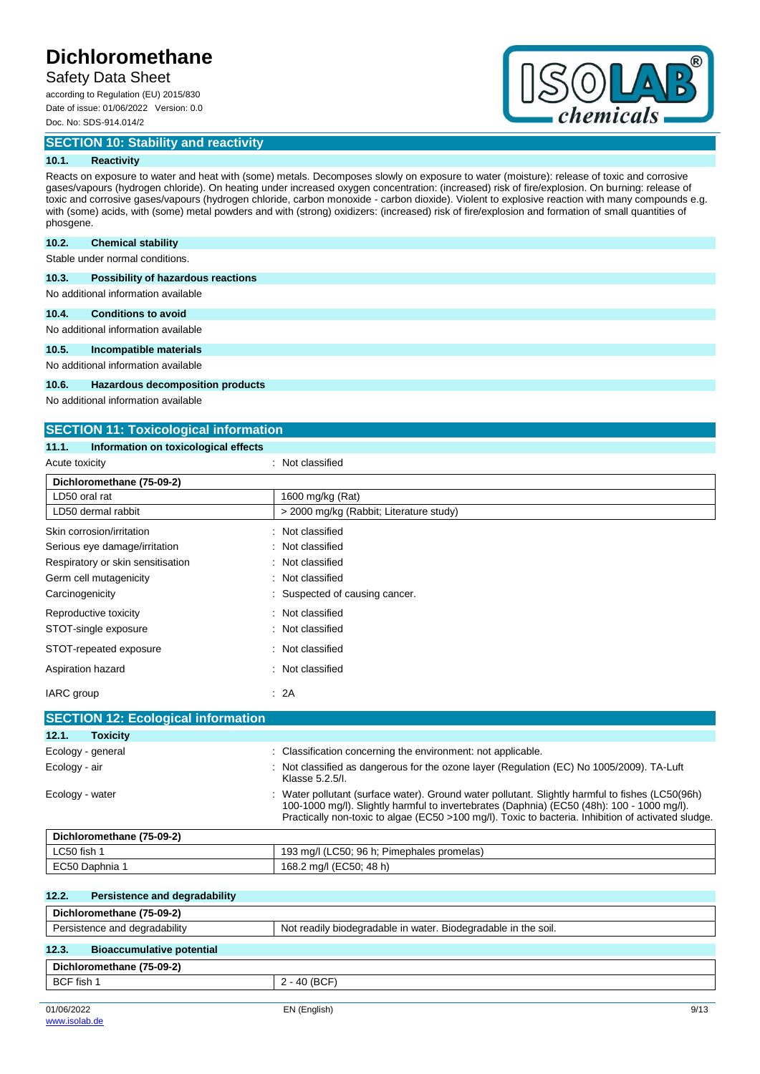## Safety Data Sheet

according to Regulation (EU) 2015/830 Date of issue: 01/06/2022 Version: 0.0 Doc. No: SDS-914.014/2

**SECTION 10: Stability and reactivity**



#### **10.1. Reactivity**

Reacts on exposure to water and heat with (some) metals. Decomposes slowly on exposure to water (moisture): release of toxic and corrosive gases/vapours (hydrogen chloride). On heating under increased oxygen concentration: (increased) risk of fire/explosion. On burning: release of toxic and corrosive gases/vapours (hydrogen chloride, carbon monoxide - carbon dioxide). Violent to explosive reaction with many compounds e.g. with (some) acids, with (some) metal powders and with (strong) oxidizers: (increased) risk of fire/explosion and formation of small quantities of phosgene.

#### **10.2. Chemical stability**

Stable under normal conditions.

| <b>Possibility of hazardous reactions</b><br>10.3. |  |
|----------------------------------------------------|--|
|----------------------------------------------------|--|

No additional information available

#### **10.4. Conditions to avoid**

No additional information available

#### **10.5. Incompatible materials**

No additional information available

#### **10.6. Hazardous decomposition products**

No additional information available

### **SECTION 11: Toxicological information**

#### **11.1. Information on toxicological effects**

| Acute toxicity                                | : Not classified                                                                                                                                                                                                                                                                                    |
|-----------------------------------------------|-----------------------------------------------------------------------------------------------------------------------------------------------------------------------------------------------------------------------------------------------------------------------------------------------------|
| Dichloromethane (75-09-2)                     |                                                                                                                                                                                                                                                                                                     |
| LD50 oral rat                                 | 1600 mg/kg (Rat)                                                                                                                                                                                                                                                                                    |
| LD50 dermal rabbit                            | > 2000 mg/kg (Rabbit; Literature study)                                                                                                                                                                                                                                                             |
| Skin corrosion/irritation                     | Not classified                                                                                                                                                                                                                                                                                      |
| Serious eye damage/irritation                 | Not classified                                                                                                                                                                                                                                                                                      |
| Respiratory or skin sensitisation             | Not classified                                                                                                                                                                                                                                                                                      |
| Germ cell mutagenicity                        | Not classified                                                                                                                                                                                                                                                                                      |
| Carcinogenicity                               | Suspected of causing cancer.                                                                                                                                                                                                                                                                        |
| Reproductive toxicity                         | Not classified                                                                                                                                                                                                                                                                                      |
| STOT-single exposure                          | Not classified                                                                                                                                                                                                                                                                                      |
| STOT-repeated exposure                        | Not classified                                                                                                                                                                                                                                                                                      |
| Aspiration hazard                             | Not classified                                                                                                                                                                                                                                                                                      |
| <b>IARC</b> group                             | : 2A                                                                                                                                                                                                                                                                                                |
| <b>SECTION 12: Ecological information</b>     |                                                                                                                                                                                                                                                                                                     |
| 12.1.<br><b>Toxicity</b>                      |                                                                                                                                                                                                                                                                                                     |
| Ecology - general                             | Classification concerning the environment: not applicable.                                                                                                                                                                                                                                          |
| Ecology - air                                 | Not classified as dangerous for the ozone layer (Regulation (EC) No 1005/2009). TA-Luft<br>Klasse 5.2.5/l.                                                                                                                                                                                          |
| Ecology - water                               | Water pollutant (surface water). Ground water pollutant. Slightly harmful to fishes (LC50(96h)<br>100-1000 mg/l). Slightly harmful to invertebrates (Daphnia) (EC50 (48h): 100 - 1000 mg/l).<br>Practically non-toxic to algae (EC50 >100 mg/l). Toxic to bacteria. Inhibition of activated sludge. |
| Dichloromethane (75-09-2)                     |                                                                                                                                                                                                                                                                                                     |
| LC50 fish 1                                   | 193 mg/l (LC50; 96 h; Pimephales promelas)                                                                                                                                                                                                                                                          |
| EC50 Daphnia 1                                | 168.2 mg/l (EC50; 48 h)                                                                                                                                                                                                                                                                             |
| 12.2.<br><b>Persistence and degradability</b> |                                                                                                                                                                                                                                                                                                     |

# **Dichloromethane (75-09-2)** Persistence and degradability Not readily biodegradable in water. Biodegradable in the soil. **12.3. Bioaccumulative potential Dichloromethane (75-09-2)** BCF fish 1 2 - 40 (BCF)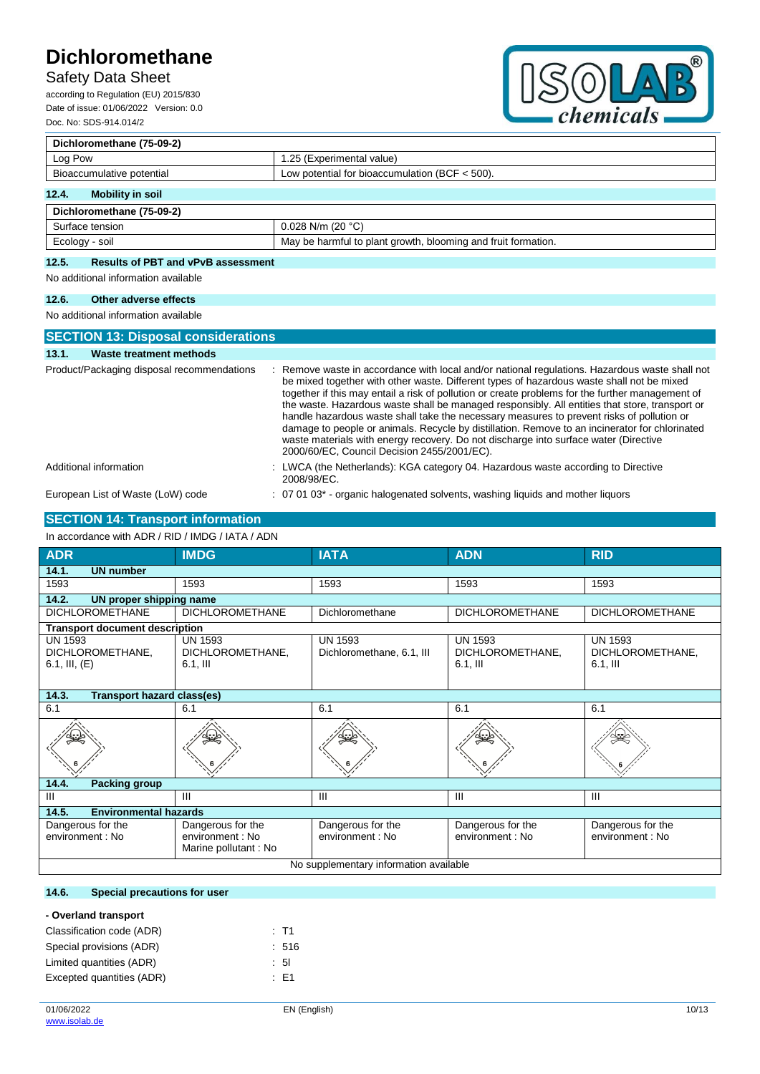# Safety Data Sheet

according to Regulation (EU) 2015/830 Date of issue: 01/06/2022 Version: 0.0 Doc. No: SDS-914.014/2



| Dichloromethane (75-09-2)                                                     |                           |  |
|-------------------------------------------------------------------------------|---------------------------|--|
| Log Pow                                                                       | 1.25 (Experimental value) |  |
| Low potential for bioaccumulation (BCF $<$ 500).<br>Bioaccumulative potential |                           |  |
| 12.4.<br>Mobility in soil                                                     |                           |  |
| Dichloromethane (75-09-2)                                                     |                           |  |
| Surface tension                                                               | $0.028$ N/m (20 °C)       |  |

## Ecology - soil **Ecology** - soil **May be harmful to plant growth, blooming and fruit formation. 12.5. Results of PBT and vPvB assessment**

No additional information available

# **12.6. Other adverse effects**

No additional information available

| <b>SECTION 13: Disposal considerations</b> |                                                                                                                                                                                                                                                                                                                                                                                                                                                                                                                                                                                                                                                                                                                                         |
|--------------------------------------------|-----------------------------------------------------------------------------------------------------------------------------------------------------------------------------------------------------------------------------------------------------------------------------------------------------------------------------------------------------------------------------------------------------------------------------------------------------------------------------------------------------------------------------------------------------------------------------------------------------------------------------------------------------------------------------------------------------------------------------------------|
| Waste treatment methods<br>13.1.           |                                                                                                                                                                                                                                                                                                                                                                                                                                                                                                                                                                                                                                                                                                                                         |
| Product/Packaging disposal recommendations | : Remove waste in accordance with local and/or national regulations. Hazardous waste shall not<br>be mixed together with other waste. Different types of hazardous waste shall not be mixed<br>together if this may entail a risk of pollution or create problems for the further management of<br>the waste. Hazardous waste shall be managed responsibly. All entities that store, transport or<br>handle hazardous waste shall take the necessary measures to prevent risks of pollution or<br>damage to people or animals. Recycle by distillation. Remove to an incinerator for chlorinated<br>waste materials with energy recovery. Do not discharge into surface water (Directive<br>2000/60/EC, Council Decision 2455/2001/EC). |
| Additional information                     | : LWCA (the Netherlands): KGA category 04. Hazardous waste according to Directive<br>2008/98/EC.                                                                                                                                                                                                                                                                                                                                                                                                                                                                                                                                                                                                                                        |
| European List of Waste (LoW) code          | $\therefore$ 07 01 03 $^*$ - organic halogenated solvents, washing liquids and mother liquors                                                                                                                                                                                                                                                                                                                                                                                                                                                                                                                                                                                                                                           |

# **SECTION 14: Transport information**

| In accordance with ADR / RID / IMDG / IATA / ADN |  |
|--------------------------------------------------|--|
|--------------------------------------------------|--|

| <b>ADR</b>                                            | <b>IMDG</b>                                                   | <b>IATA</b>                                 | <b>ADN</b>                                       | <b>RID</b>                                       |
|-------------------------------------------------------|---------------------------------------------------------------|---------------------------------------------|--------------------------------------------------|--------------------------------------------------|
| 14.1.<br><b>UN number</b>                             |                                                               |                                             |                                                  |                                                  |
| 1593                                                  | 1593                                                          | 1593                                        | 1593                                             | 1593                                             |
| 14.2.<br><b>UN proper shipping name</b>               |                                                               |                                             |                                                  |                                                  |
| <b>DICHLOROMETHANE</b>                                | <b>DICHLOROMETHANE</b>                                        | Dichloromethane                             | <b>DICHLOROMETHANE</b>                           | <b>DICHLOROMETHANE</b>                           |
| <b>Transport document description</b>                 |                                                               |                                             |                                                  |                                                  |
| <b>UN 1593</b><br>DICHLOROMETHANE,<br>6.1, III, $(E)$ | <b>UN 1593</b><br>DICHLOROMETHANE,<br>$6.1,$ III              | <b>UN 1593</b><br>Dichloromethane, 6.1, III | <b>UN 1593</b><br>DICHLOROMETHANE,<br>$6.1,$ III | <b>UN 1593</b><br>DICHLOROMETHANE,<br>$6.1,$ III |
| 14.3.<br><b>Transport hazard class(es)</b>            |                                                               |                                             |                                                  |                                                  |
| 6.1                                                   | 6.1                                                           | 6.1                                         | 6.1                                              | 6.1                                              |
|                                                       |                                                               |                                             |                                                  |                                                  |
| 14.4.<br><b>Packing group</b>                         |                                                               |                                             |                                                  |                                                  |
| Ш                                                     | Ш                                                             | III                                         | III                                              | Ш                                                |
| 14.5.<br><b>Environmental hazards</b>                 |                                                               |                                             |                                                  |                                                  |
| Dangerous for the<br>environment : No                 | Dangerous for the<br>environment : No<br>Marine pollutant: No | Dangerous for the<br>environment : No       | Dangerous for the<br>environment : No            | Dangerous for the<br>environment : No            |
| No supplementary information available                |                                                               |                                             |                                                  |                                                  |

### **14.6. Special precautions for user**

| - Overland transport      |       |
|---------------------------|-------|
| Classification code (ADR) | : T1  |
| Special provisions (ADR)  | : 516 |
| Limited quantities (ADR)  | : 51  |
| Excepted quantities (ADR) | : F1  |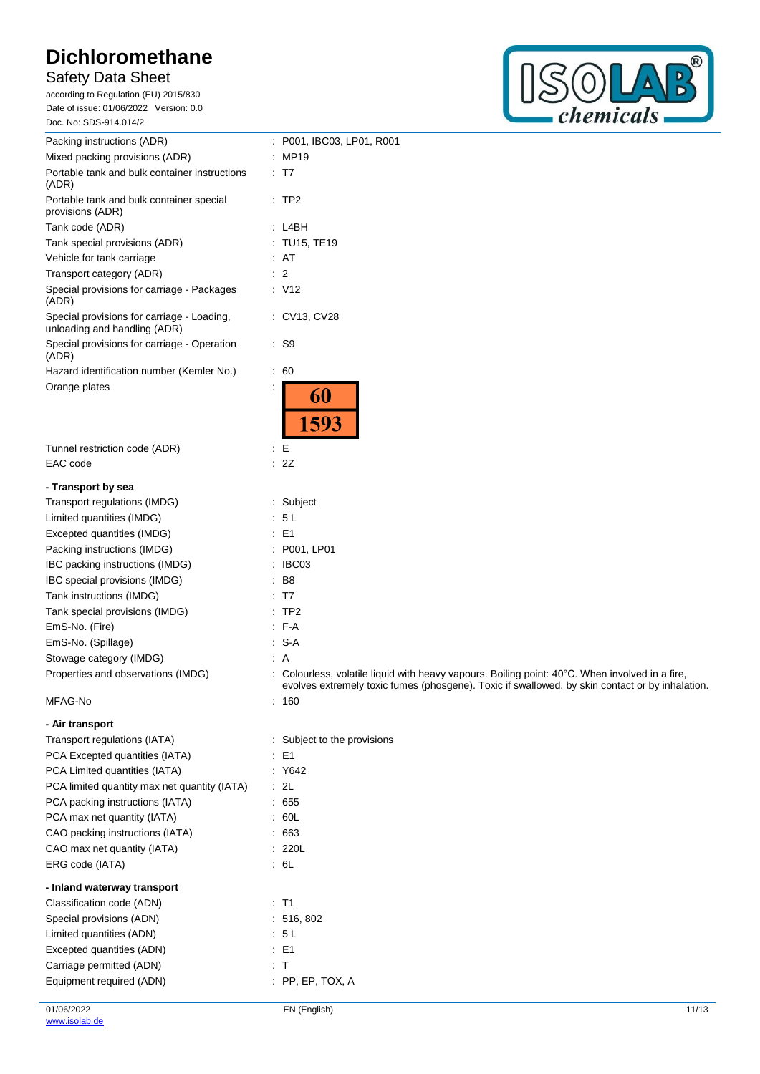# Safety Data Sheet

according to Regulation (EU) 2015/830 Date of issue: 01/06/2022 Version: 0.0 Doc. No: SDS-914.014/2



| Packing instructions (ADR)<br>Mixed packing provisions (ADR)<br>Portable tank and bulk container instructions<br>(ADR) | : P001, IBC03, LP01, R001<br>: MP19                                                                                                                                                              |
|------------------------------------------------------------------------------------------------------------------------|--------------------------------------------------------------------------------------------------------------------------------------------------------------------------------------------------|
|                                                                                                                        |                                                                                                                                                                                                  |
|                                                                                                                        |                                                                                                                                                                                                  |
|                                                                                                                        | : T7                                                                                                                                                                                             |
| Portable tank and bulk container special<br>provisions (ADR)                                                           | :TP2                                                                                                                                                                                             |
| Tank code (ADR)                                                                                                        | : L4BH                                                                                                                                                                                           |
| Tank special provisions (ADR)                                                                                          | : TU15, TE19                                                                                                                                                                                     |
| Vehicle for tank carriage                                                                                              | : AT                                                                                                                                                                                             |
| Transport category (ADR)                                                                                               | $\therefore$ 2                                                                                                                                                                                   |
| Special provisions for carriage - Packages<br>(ADR)                                                                    | : V12                                                                                                                                                                                            |
| Special provisions for carriage - Loading,<br>unloading and handling (ADR)                                             | : CV13, CV28                                                                                                                                                                                     |
| Special provisions for carriage - Operation<br>(ADR)                                                                   | $\therefore$ S9                                                                                                                                                                                  |
| Hazard identification number (Kemler No.)                                                                              | : 60                                                                                                                                                                                             |
| Orange plates                                                                                                          | 60<br>1593                                                                                                                                                                                       |
| Tunnel restriction code (ADR)                                                                                          | E<br>÷                                                                                                                                                                                           |
| EAC code                                                                                                               | 2Z                                                                                                                                                                                               |
| - Transport by sea                                                                                                     |                                                                                                                                                                                                  |
| Transport regulations (IMDG)                                                                                           | : Subject                                                                                                                                                                                        |
| Limited quantities (IMDG)                                                                                              | : 5 L                                                                                                                                                                                            |
| Excepted quantities (IMDG)                                                                                             | : E1                                                                                                                                                                                             |
| Packing instructions (IMDG)                                                                                            | : P001, LP01                                                                                                                                                                                     |
| IBC packing instructions (IMDG)                                                                                        | : IBC03                                                                                                                                                                                          |
| IBC special provisions (IMDG)                                                                                          | B8                                                                                                                                                                                               |
| Tank instructions (IMDG)                                                                                               | : T7                                                                                                                                                                                             |
| Tank special provisions (IMDG)                                                                                         | $:$ TP2                                                                                                                                                                                          |
| EmS-No. (Fire)                                                                                                         | $F-A$                                                                                                                                                                                            |
| EmS-No. (Spillage)                                                                                                     | $: S-A$                                                                                                                                                                                          |
| Stowage category (IMDG)                                                                                                | $\therefore$ A                                                                                                                                                                                   |
| Properties and observations (IMDG)                                                                                     | Colourless, volatile liquid with heavy vapours. Boiling point: 40°C. When involved in a fire,<br>evolves extremely toxic fumes (phosgene). Toxic if swallowed, by skin contact or by inhalation. |
| MFAG-No                                                                                                                | : 160                                                                                                                                                                                            |
| - Air transport                                                                                                        |                                                                                                                                                                                                  |
| Transport regulations (IATA)                                                                                           | : Subject to the provisions                                                                                                                                                                      |
| PCA Excepted quantities (IATA)                                                                                         | $\therefore$ E1                                                                                                                                                                                  |
| PCA Limited quantities (IATA)                                                                                          | Y642                                                                                                                                                                                             |
| PCA limited quantity max net quantity (IATA)                                                                           | : 2L                                                                                                                                                                                             |
| PCA packing instructions (IATA)                                                                                        | : 655                                                                                                                                                                                            |
| PCA max net quantity (IATA)                                                                                            | .60L                                                                                                                                                                                             |
| CAO packing instructions (IATA)                                                                                        | :663                                                                                                                                                                                             |
| CAO max net quantity (IATA)                                                                                            | : 220L                                                                                                                                                                                           |
| ERG code (IATA)                                                                                                        | : 6L                                                                                                                                                                                             |
| - Inland waterway transport                                                                                            |                                                                                                                                                                                                  |
| Classification code (ADN)                                                                                              | $:$ T1                                                                                                                                                                                           |
| Special provisions (ADN)                                                                                               | : 516, 802                                                                                                                                                                                       |
| Limited quantities (ADN)                                                                                               | : 5L                                                                                                                                                                                             |
| Excepted quantities (ADN)                                                                                              | $\therefore$ E1                                                                                                                                                                                  |
| Carriage permitted (ADN)                                                                                               | : T                                                                                                                                                                                              |
| Equipment required (ADN)                                                                                               | $:$ PP, EP, TOX, A                                                                                                                                                                               |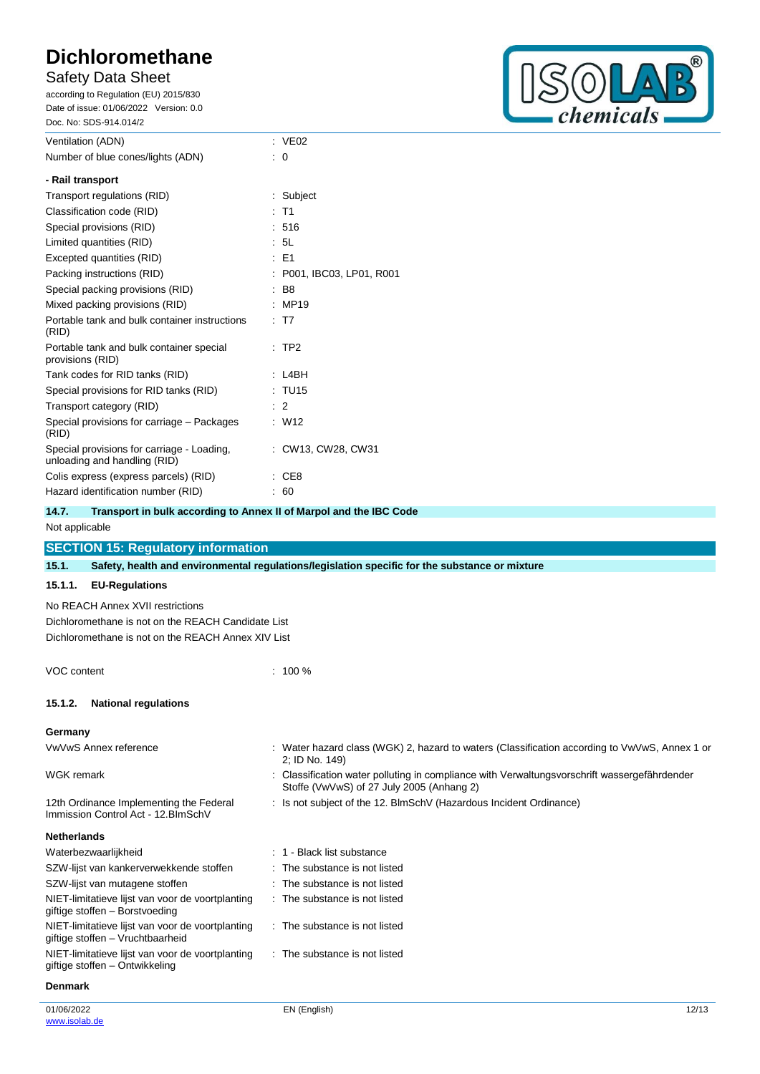## Safety Data Sheet

according to Regulation (EU) 2015/830 Date of issue: 01/06/2022 Version: 0.0 Doc. No: SDS-914.014/2



| Ventilation (ADN)                                                          | $\therefore$ VE02         |
|----------------------------------------------------------------------------|---------------------------|
| Number of blue cones/lights (ADN)                                          | $\cdot$ 0                 |
| - Rail transport                                                           |                           |
| Transport regulations (RID)                                                | : Subject                 |
| Classification code (RID)                                                  | T <sub>1</sub>            |
| Special provisions (RID)                                                   | : 516                     |
| Limited quantities (RID)                                                   | : 5L                      |
| Excepted quantities (RID)                                                  | : E1                      |
| Packing instructions (RID)                                                 | : P001, IBC03, LP01, R001 |
| Special packing provisions (RID)                                           | B <sub>8</sub>            |
| Mixed packing provisions (RID)                                             | MP19                      |
| Portable tank and bulk container instructions<br>(RID)                     | : T7                      |
| Portable tank and bulk container special<br>provisions (RID)               | $:$ TP2                   |
| Tank codes for RID tanks (RID)                                             | L4BH                      |
| Special provisions for RID tanks (RID)                                     | : TU15                    |
| Transport category (RID)                                                   | $\therefore$ 2            |
| Special provisions for carriage – Packages<br>(RID)                        | W12                       |
| Special provisions for carriage - Loading.<br>unloading and handling (RID) | : CW13, CW28, CW31        |
| Colis express (express parcels) (RID)                                      | CE8                       |
| Hazard identification number (RID)                                         | : 60                      |
|                                                                            |                           |

| 14.7. | Transport in bulk according to Annex II of Marpol and the IBC Code |
|-------|--------------------------------------------------------------------|
|       |                                                                    |

### Not applicable

## **SECTION 15: Regulatory information**

**15.1. Safety, health and environmental regulations/legislation specific for the substance or mixture**

### **15.1.1. EU-Regulations**

No REACH Annex XVII restrictions Dichloromethane is not on the REACH Candidate List Dichloromethane is not on the REACH Annex XIV List

VOC content : 100 %

### **15.1.2. National regulations**

#### **Germany**

VwVwS Annex reference : Water hazard class (WGK) 2, hazard to waters (Classification according to VwVwS, Annex 1 or 2; ID No. 149) WGK remark **in the symbol of the Classification water polluting in compliance with Verwaltungsvorschrift wassergefährdender** with Verwaltungsvorschrift wassergefährdender Stoffe (VwVwS) of 27 July 2005 (Anhang 2) 12th Ordinance Implementing the Federal Immission Control Act - 12.BImSchV : Is not subject of the 12. BlmSchV (Hazardous Incident Ordinance) **Netherlands** Waterbezwaarlijkheid is a street waarlijkheid is the substance is the Shack list substance SZW-lijst van kankerverwekkende stoffen : The substance is not listed SZW-lijst van mutagene stoffen : The substance is not listed NIET-limitatieve lijst van voor de voortplanting giftige stoffen – Borstvoeding : The substance is not listed NIET-limitatieve lijst van voor de voortplanting giftige stoffen – Vruchtbaarheid : The substance is not listed

NIET-limitatieve lijst van voor de voortplanting : The substance is not listed

#### **Denmark**

giftige stoffen – Ontwikkeling